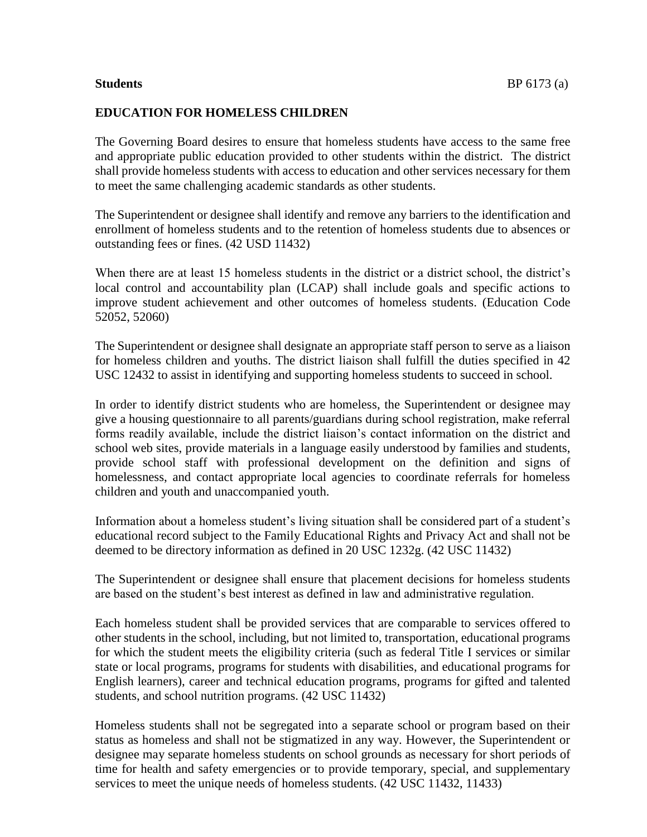The Governing Board desires to ensure that homeless students have access to the same free and appropriate public education provided to other students within the district. The district shall provide homeless students with access to education and other services necessary for them to meet the same challenging academic standards as other students.

The Superintendent or designee shall identify and remove any barriers to the identification and enrollment of homeless students and to the retention of homeless students due to absences or outstanding fees or fines. (42 USD 11432)

When there are at least 15 homeless students in the district or a district school, the district's local control and accountability plan (LCAP) shall include goals and specific actions to improve student achievement and other outcomes of homeless students. (Education Code 52052, 52060)

The Superintendent or designee shall designate an appropriate staff person to serve as a liaison for homeless children and youths. The district liaison shall fulfill the duties specified in 42 USC 12432 to assist in identifying and supporting homeless students to succeed in school.

In order to identify district students who are homeless, the Superintendent or designee may give a housing questionnaire to all parents/guardians during school registration, make referral forms readily available, include the district liaison's contact information on the district and school web sites, provide materials in a language easily understood by families and students, provide school staff with professional development on the definition and signs of homelessness, and contact appropriate local agencies to coordinate referrals for homeless children and youth and unaccompanied youth.

Information about a homeless student's living situation shall be considered part of a student's educational record subject to the Family Educational Rights and Privacy Act and shall not be deemed to be directory information as defined in 20 USC 1232g. (42 USC 11432)

The Superintendent or designee shall ensure that placement decisions for homeless students are based on the student's best interest as defined in law and administrative regulation.

Each homeless student shall be provided services that are comparable to services offered to other students in the school, including, but not limited to, transportation, educational programs for which the student meets the eligibility criteria (such as federal Title I services or similar state or local programs, programs for students with disabilities, and educational programs for English learners), career and technical education programs, programs for gifted and talented students, and school nutrition programs. (42 USC 11432)

Homeless students shall not be segregated into a separate school or program based on their status as homeless and shall not be stigmatized in any way. However, the Superintendent or designee may separate homeless students on school grounds as necessary for short periods of time for health and safety emergencies or to provide temporary, special, and supplementary services to meet the unique needs of homeless students. (42 USC 11432, 11433)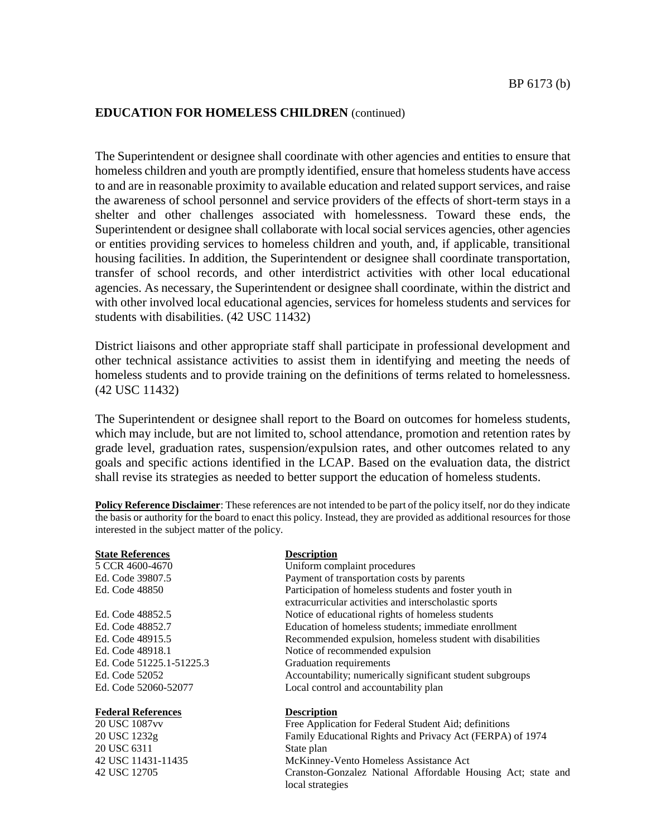The Superintendent or designee shall coordinate with other agencies and entities to ensure that homeless children and youth are promptly identified, ensure that homeless students have access to and are in reasonable proximity to available education and related support services, and raise the awareness of school personnel and service providers of the effects of short-term stays in a shelter and other challenges associated with homelessness. Toward these ends, the Superintendent or designee shall collaborate with local social services agencies, other agencies or entities providing services to homeless children and youth, and, if applicable, transitional housing facilities. In addition, the Superintendent or designee shall coordinate transportation, transfer of school records, and other interdistrict activities with other local educational agencies. As necessary, the Superintendent or designee shall coordinate, within the district and with other involved local educational agencies, services for homeless students and services for students with disabilities. (42 USC 11432)

District liaisons and other appropriate staff shall participate in professional development and other technical assistance activities to assist them in identifying and meeting the needs of homeless students and to provide training on the definitions of terms related to homelessness. (42 USC 11432)

The Superintendent or designee shall report to the Board on outcomes for homeless students, which may include, but are not limited to, school attendance, promotion and retention rates by grade level, graduation rates, suspension/expulsion rates, and other outcomes related to any goals and specific actions identified in the LCAP. Based on the evaluation data, the district shall revise its strategies as needed to better support the education of homeless students.

**Policy Reference Disclaimer**: These references are not intended to be part of the policy itself, nor do they indicate the basis or authority for the board to enact this policy. Instead, they are provided as additional resources for those interested in the subject matter of the policy.

### **State References Description** 5 CCR 4600-4670 Uniform complaint procedures Ed. Code 39807.5 Payment of transportation costs by parents Ed. Code 48850 Participation of homeless students and foster youth in extracurricular activities and interscholastic sports Ed. Code 48852.5 Notice of educational rights of homeless students Ed. Code 48852.7 Education of homeless students; immediate enrollment Ed. Code 48915.5 Recommended expulsion, homeless student with disabilities Ed. Code 48918.1 Notice of recommended expulsion Ed. Code 51225.1-51225.3 Graduation requirements Ed. Code 52052 Accountability; numerically significant student subgroups Ed. Code 52060-52077 Local control and accountability plan **Federal References Description** 20 USC 1087vv Free Application for Federal Student Aid; definitions 20 USC 1232g Family Educational Rights and Privacy Act (FERPA) of 1974 20 USC 6311 State plan 42 USC 11431-11435 McKinney-Vento Homeless Assistance Act

42 USC 12705 Cranston-Gonzalez National Affordable Housing Act; state and local strategies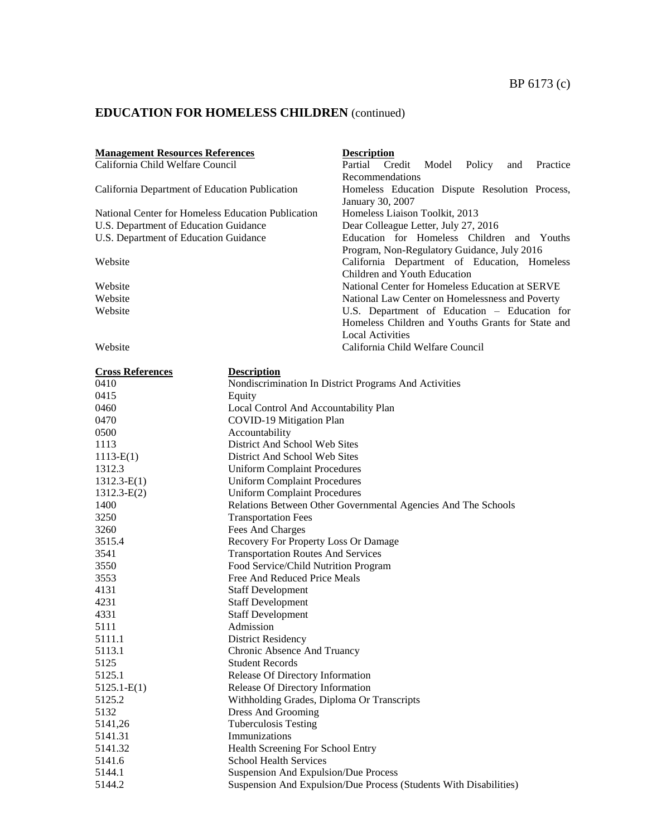| <b>Management Resources References</b>                     | <b>Description</b>                                   |
|------------------------------------------------------------|------------------------------------------------------|
| California Child Welfare Council                           | Policy<br>Practice<br>Credit Model<br>Partial<br>and |
|                                                            | Recommendations                                      |
| California Department of Education Publication             | Homeless Education Dispute Resolution Process,       |
|                                                            | January 30, 2007                                     |
| National Center for Homeless Education Publication         | Homeless Liaison Toolkit, 2013                       |
| U.S. Department of Education Guidance                      | Dear Colleague Letter, July 27, 2016                 |
| U.S. Department of Education Guidance                      | Education for Homeless Children and Youths           |
|                                                            | Program, Non-Regulatory Guidance, July 2016          |
| Website                                                    | California Department of Education, Homeless         |
|                                                            | Children and Youth Education                         |
| Website                                                    | National Center for Homeless Education at SERVE      |
| Website<br>National Law Center on Homelessness and Poverty |                                                      |
| Website                                                    | U.S. Department of Education – Education for         |
|                                                            | Homeless Children and Youths Grants for State and    |
|                                                            | <b>Local Activities</b>                              |
| Website                                                    | California Child Welfare Council                     |

| <b>Cross References</b> | <b>Description</b>                                                |
|-------------------------|-------------------------------------------------------------------|
| 0410                    | Nondiscrimination In District Programs And Activities             |
| 0415                    | Equity                                                            |
| 0460                    | Local Control And Accountability Plan                             |
| 0470                    | COVID-19 Mitigation Plan                                          |
| 0500                    | Accountability                                                    |
| 1113                    | District And School Web Sites                                     |
| $1113-E(1)$             | District And School Web Sites                                     |
| 1312.3                  | <b>Uniform Complaint Procedures</b>                               |
| $1312.3-E(1)$           | <b>Uniform Complaint Procedures</b>                               |
| $1312.3-E(2)$           | <b>Uniform Complaint Procedures</b>                               |
| 1400                    | Relations Between Other Governmental Agencies And The Schools     |
| 3250                    | <b>Transportation Fees</b>                                        |
| 3260                    | Fees And Charges                                                  |
| 3515.4                  | Recovery For Property Loss Or Damage                              |
| 3541                    | <b>Transportation Routes And Services</b>                         |
| 3550                    | Food Service/Child Nutrition Program                              |
| 3553                    | Free And Reduced Price Meals                                      |
| 4131                    | <b>Staff Development</b>                                          |
| 4231                    | <b>Staff Development</b>                                          |
| 4331                    | <b>Staff Development</b>                                          |
| 5111                    | Admission                                                         |
| 5111.1                  | <b>District Residency</b>                                         |
| 5113.1                  | Chronic Absence And Truancy                                       |
| 5125                    | <b>Student Records</b>                                            |
| 5125.1                  | Release Of Directory Information                                  |
| $5125.1-E(1)$           | Release Of Directory Information                                  |
| 5125.2                  | Withholding Grades, Diploma Or Transcripts                        |
| 5132                    | Dress And Grooming                                                |
| 5141,26                 | <b>Tuberculosis Testing</b>                                       |
| 5141.31                 | Immunizations                                                     |
| 5141.32                 | Health Screening For School Entry                                 |
| 5141.6                  | <b>School Health Services</b>                                     |
| 5144.1                  | Suspension And Expulsion/Due Process                              |
| 5144.2                  | Suspension And Expulsion/Due Process (Students With Disabilities) |
|                         |                                                                   |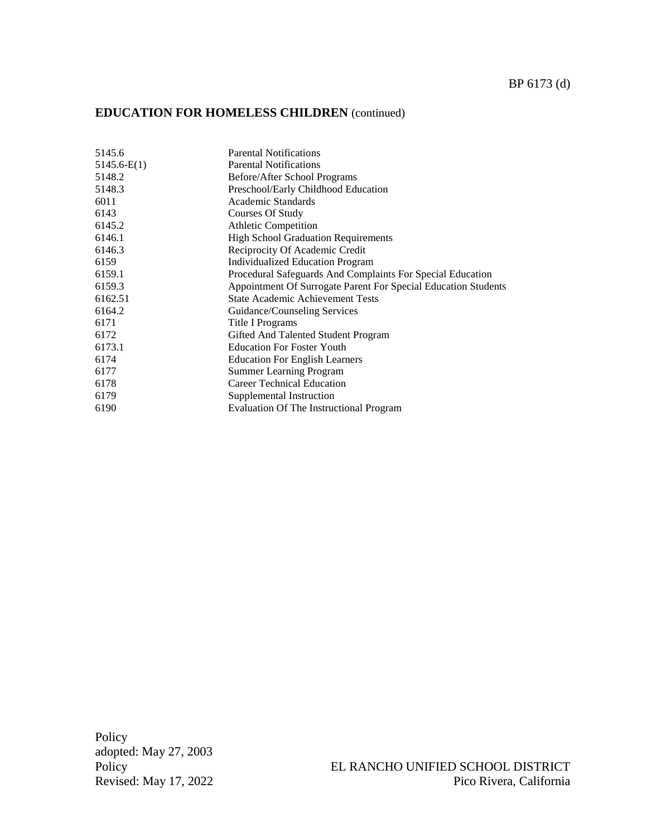| 5145.6      | <b>Parental Notifications</b>                                  |
|-------------|----------------------------------------------------------------|
| 5145.6-E(1) | <b>Parental Notifications</b>                                  |
| 5148.2      | Before/After School Programs                                   |
| 5148.3      | Preschool/Early Childhood Education                            |
| 6011        | <b>Academic Standards</b>                                      |
| 6143        | Courses Of Study                                               |
| 6145.2      | <b>Athletic Competition</b>                                    |
| 6146.1      | <b>High School Graduation Requirements</b>                     |
| 6146.3      | Reciprocity Of Academic Credit                                 |
| 6159        | Individualized Education Program                               |
| 6159.1      | Procedural Safeguards And Complaints For Special Education     |
| 6159.3      | Appointment Of Surrogate Parent For Special Education Students |
| 6162.51     | <b>State Academic Achievement Tests</b>                        |
| 6164.2      | Guidance/Counseling Services                                   |
| 6171        | Title I Programs                                               |
| 6172        | Gifted And Talented Student Program                            |
| 6173.1      | <b>Education For Foster Youth</b>                              |
| 6174        | <b>Education For English Learners</b>                          |
| 6177        | Summer Learning Program                                        |
| 6178        | <b>Career Technical Education</b>                              |
| 6179        | Supplemental Instruction                                       |
| 6190        | <b>Evaluation Of The Instructional Program</b>                 |
|             |                                                                |

Policy adopted: May 27, 2003 Revised: May 17, 2022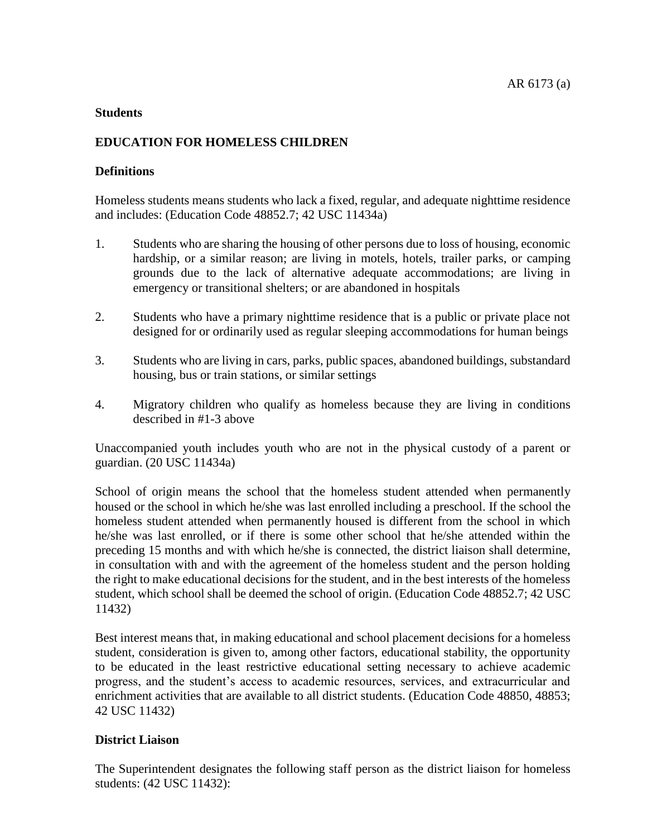## **Students**

## **EDUCATION FOR HOMELESS CHILDREN**

## **Definitions**

Homeless students means students who lack a fixed, regular, and adequate nighttime residence and includes: (Education Code 48852.7; 42 USC 11434a)

- 1. Students who are sharing the housing of other persons due to loss of housing, economic hardship, or a similar reason; are living in motels, hotels, trailer parks, or camping grounds due to the lack of alternative adequate accommodations; are living in emergency or transitional shelters; or are abandoned in hospitals
- 2. Students who have a primary nighttime residence that is a public or private place not designed for or ordinarily used as regular sleeping accommodations for human beings
- 3. Students who are living in cars, parks, public spaces, abandoned buildings, substandard housing, bus or train stations, or similar settings
- 4. Migratory children who qualify as homeless because they are living in conditions described in #1-3 above

Unaccompanied youth includes youth who are not in the physical custody of a parent or guardian. (20 USC 11434a)

School of origin means the school that the homeless student attended when permanently housed or the school in which he/she was last enrolled including a preschool. If the school the homeless student attended when permanently housed is different from the school in which he/she was last enrolled, or if there is some other school that he/she attended within the preceding 15 months and with which he/she is connected, the district liaison shall determine, in consultation with and with the agreement of the homeless student and the person holding the right to make educational decisions for the student, and in the best interests of the homeless student, which school shall be deemed the school of origin. (Education Code 48852.7; 42 USC 11432)

Best interest means that, in making educational and school placement decisions for a homeless student, consideration is given to, among other factors, educational stability, the opportunity to be educated in the least restrictive educational setting necessary to achieve academic progress, and the student's access to academic resources, services, and extracurricular and enrichment activities that are available to all district students. (Education Code 48850, 48853; 42 USC 11432)

## **District Liaison**

The Superintendent designates the following staff person as the district liaison for homeless students: (42 USC 11432):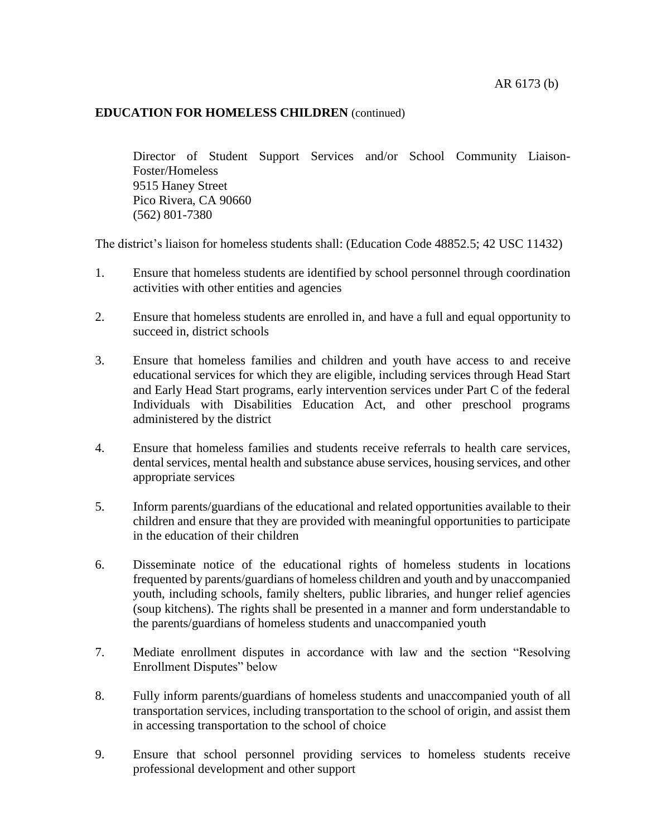Director of Student Support Services and/or School Community Liaison-Foster/Homeless 9515 Haney Street Pico Rivera, CA 90660 (562) 801-7380

The district's liaison for homeless students shall: (Education Code 48852.5; 42 USC 11432)

- 1. Ensure that homeless students are identified by school personnel through coordination activities with other entities and agencies
- 2. Ensure that homeless students are enrolled in, and have a full and equal opportunity to succeed in, district schools
- 3. Ensure that homeless families and children and youth have access to and receive educational services for which they are eligible, including services through Head Start and Early Head Start programs, early intervention services under Part C of the federal Individuals with Disabilities Education Act, and other preschool programs administered by the district
- 4. Ensure that homeless families and students receive referrals to health care services, dental services, mental health and substance abuse services, housing services, and other appropriate services
- 5. Inform parents/guardians of the educational and related opportunities available to their children and ensure that they are provided with meaningful opportunities to participate in the education of their children
- 6. Disseminate notice of the educational rights of homeless students in locations frequented by parents/guardians of homeless children and youth and by unaccompanied youth, including schools, family shelters, public libraries, and hunger relief agencies (soup kitchens). The rights shall be presented in a manner and form understandable to the parents/guardians of homeless students and unaccompanied youth
- 7. Mediate enrollment disputes in accordance with law and the section "Resolving Enrollment Disputes" below
- 8. Fully inform parents/guardians of homeless students and unaccompanied youth of all transportation services, including transportation to the school of origin, and assist them in accessing transportation to the school of choice
- 9. Ensure that school personnel providing services to homeless students receive professional development and other support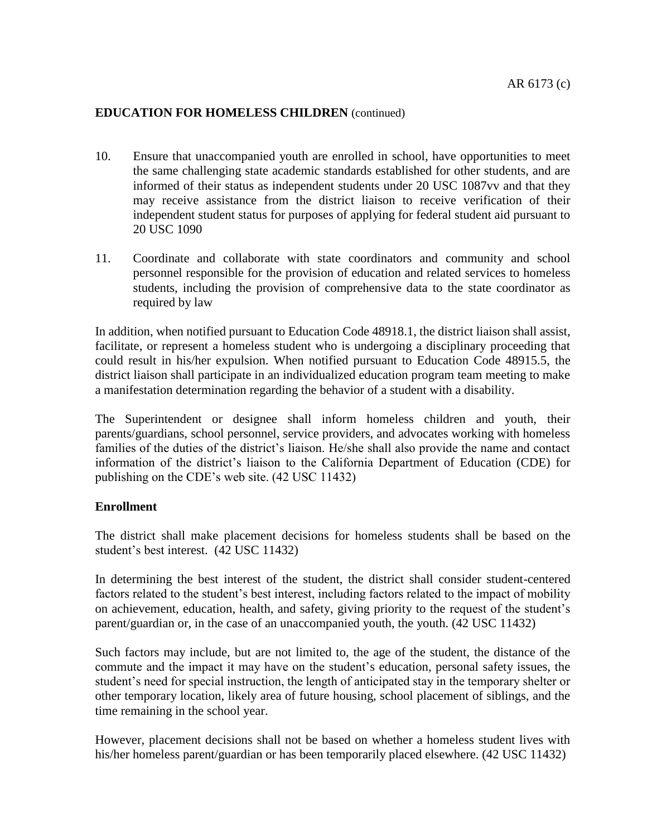- 10. Ensure that unaccompanied youth are enrolled in school, have opportunities to meet the same challenging state academic standards established for other students, and are informed of their status as independent students under 20 USC 1087vv and that they may receive assistance from the district liaison to receive verification of their independent student status for purposes of applying for federal student aid pursuant to 20 USC 1090
- 11. Coordinate and collaborate with state coordinators and community and school personnel responsible for the provision of education and related services to homeless students, including the provision of comprehensive data to the state coordinator as required by law

In addition, when notified pursuant to Education Code 48918.1, the district liaison shall assist, facilitate, or represent a homeless student who is undergoing a disciplinary proceeding that could result in his/her expulsion. When notified pursuant to Education Code 48915.5, the district liaison shall participate in an individualized education program team meeting to make a manifestation determination regarding the behavior of a student with a disability.

The Superintendent or designee shall inform homeless children and youth, their parents/guardians, school personnel, service providers, and advocates working with homeless families of the duties of the district's liaison. He/she shall also provide the name and contact information of the district's liaison to the California Department of Education (CDE) for publishing on the CDE's web site. (42 USC 11432)

## **Enrollment**

The district shall make placement decisions for homeless students shall be based on the student's best interest. (42 USC 11432)

In determining the best interest of the student, the district shall consider student-centered factors related to the student's best interest, including factors related to the impact of mobility on achievement, education, health, and safety, giving priority to the request of the student's parent/guardian or, in the case of an unaccompanied youth, the youth. (42 USC 11432)

Such factors may include, but are not limited to, the age of the student, the distance of the commute and the impact it may have on the student's education, personal safety issues, the student's need for special instruction, the length of anticipated stay in the temporary shelter or other temporary location, likely area of future housing, school placement of siblings, and the time remaining in the school year.

However, placement decisions shall not be based on whether a homeless student lives with his/her homeless parent/guardian or has been temporarily placed elsewhere. (42 USC 11432)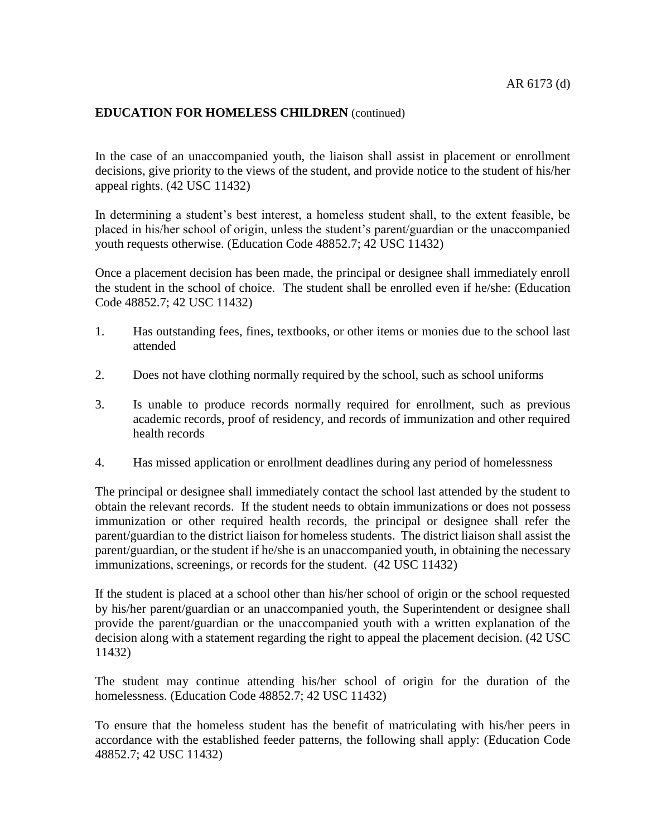In the case of an unaccompanied youth, the liaison shall assist in placement or enrollment decisions, give priority to the views of the student, and provide notice to the student of his/her appeal rights. (42 USC 11432)

In determining a student's best interest, a homeless student shall, to the extent feasible, be placed in his/her school of origin, unless the student's parent/guardian or the unaccompanied youth requests otherwise. (Education Code 48852.7; 42 USC 11432)

Once a placement decision has been made, the principal or designee shall immediately enroll the student in the school of choice. The student shall be enrolled even if he/she: (Education Code 48852.7; 42 USC 11432)

- 1. Has outstanding fees, fines, textbooks, or other items or monies due to the school last attended
- 2. Does not have clothing normally required by the school, such as school uniforms
- 3. Is unable to produce records normally required for enrollment, such as previous academic records, proof of residency, and records of immunization and other required health records
- 4. Has missed application or enrollment deadlines during any period of homelessness

The principal or designee shall immediately contact the school last attended by the student to obtain the relevant records. If the student needs to obtain immunizations or does not possess immunization or other required health records, the principal or designee shall refer the parent/guardian to the district liaison for homeless students. The district liaison shall assist the parent/guardian, or the student if he/she is an unaccompanied youth, in obtaining the necessary immunizations, screenings, or records for the student. (42 USC 11432)

If the student is placed at a school other than his/her school of origin or the school requested by his/her parent/guardian or an unaccompanied youth, the Superintendent or designee shall provide the parent/guardian or the unaccompanied youth with a written explanation of the decision along with a statement regarding the right to appeal the placement decision. (42 USC 11432)

The student may continue attending his/her school of origin for the duration of the homelessness. (Education Code 48852.7; 42 USC 11432)

To ensure that the homeless student has the benefit of matriculating with his/her peers in accordance with the established feeder patterns, the following shall apply: (Education Code 48852.7; 42 USC 11432)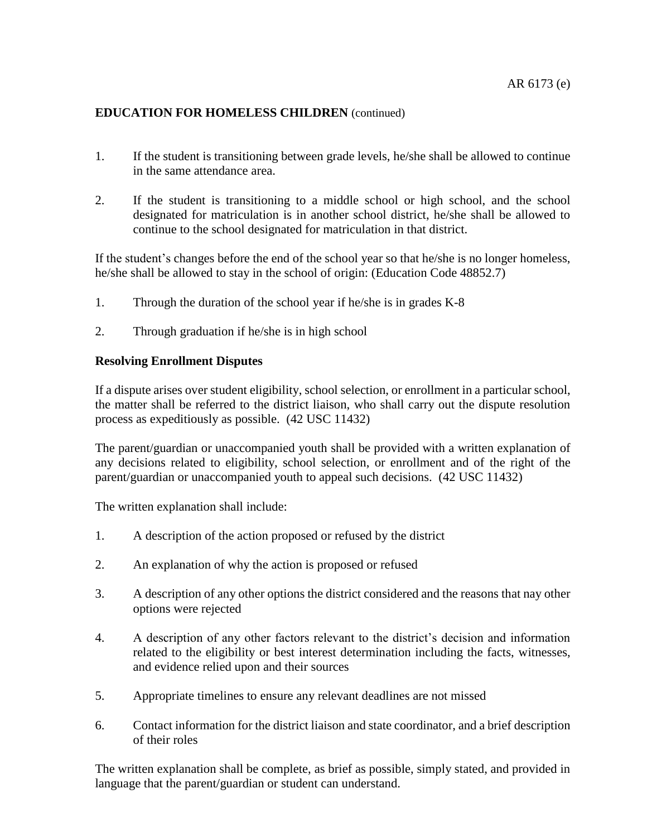- 1. If the student is transitioning between grade levels, he/she shall be allowed to continue in the same attendance area.
- 2. If the student is transitioning to a middle school or high school, and the school designated for matriculation is in another school district, he/she shall be allowed to continue to the school designated for matriculation in that district.

If the student's changes before the end of the school year so that he/she is no longer homeless, he/she shall be allowed to stay in the school of origin: (Education Code 48852.7)

- 1. Through the duration of the school year if he/she is in grades K-8
- 2. Through graduation if he/she is in high school

## **Resolving Enrollment Disputes**

If a dispute arises over student eligibility, school selection, or enrollment in a particular school, the matter shall be referred to the district liaison, who shall carry out the dispute resolution process as expeditiously as possible. (42 USC 11432)

The parent/guardian or unaccompanied youth shall be provided with a written explanation of any decisions related to eligibility, school selection, or enrollment and of the right of the parent/guardian or unaccompanied youth to appeal such decisions. (42 USC 11432)

The written explanation shall include:

- 1. A description of the action proposed or refused by the district
- 2. An explanation of why the action is proposed or refused
- 3. A description of any other options the district considered and the reasons that nay other options were rejected
- 4. A description of any other factors relevant to the district's decision and information related to the eligibility or best interest determination including the facts, witnesses, and evidence relied upon and their sources
- 5. Appropriate timelines to ensure any relevant deadlines are not missed
- 6. Contact information for the district liaison and state coordinator, and a brief description of their roles

The written explanation shall be complete, as brief as possible, simply stated, and provided in language that the parent/guardian or student can understand.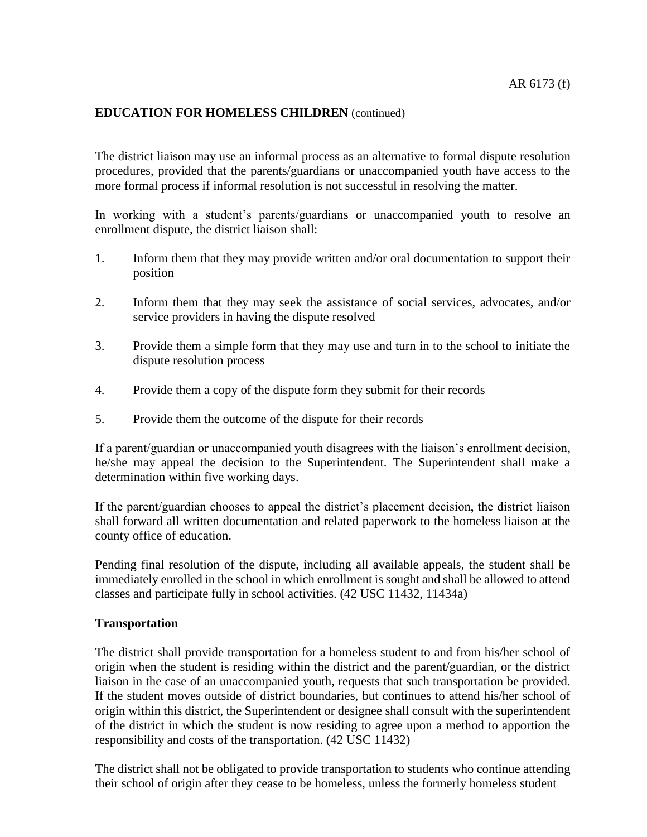The district liaison may use an informal process as an alternative to formal dispute resolution procedures, provided that the parents/guardians or unaccompanied youth have access to the more formal process if informal resolution is not successful in resolving the matter.

In working with a student's parents/guardians or unaccompanied youth to resolve an enrollment dispute, the district liaison shall:

- 1. Inform them that they may provide written and/or oral documentation to support their position
- 2. Inform them that they may seek the assistance of social services, advocates, and/or service providers in having the dispute resolved
- 3. Provide them a simple form that they may use and turn in to the school to initiate the dispute resolution process
- 4. Provide them a copy of the dispute form they submit for their records
- 5. Provide them the outcome of the dispute for their records

If a parent/guardian or unaccompanied youth disagrees with the liaison's enrollment decision, he/she may appeal the decision to the Superintendent. The Superintendent shall make a determination within five working days.

If the parent/guardian chooses to appeal the district's placement decision, the district liaison shall forward all written documentation and related paperwork to the homeless liaison at the county office of education.

Pending final resolution of the dispute, including all available appeals, the student shall be immediately enrolled in the school in which enrollment is sought and shall be allowed to attend classes and participate fully in school activities. (42 USC 11432, 11434a)

## **Transportation**

The district shall provide transportation for a homeless student to and from his/her school of origin when the student is residing within the district and the parent/guardian, or the district liaison in the case of an unaccompanied youth, requests that such transportation be provided. If the student moves outside of district boundaries, but continues to attend his/her school of origin within this district, the Superintendent or designee shall consult with the superintendent of the district in which the student is now residing to agree upon a method to apportion the responsibility and costs of the transportation. (42 USC 11432)

The district shall not be obligated to provide transportation to students who continue attending their school of origin after they cease to be homeless, unless the formerly homeless student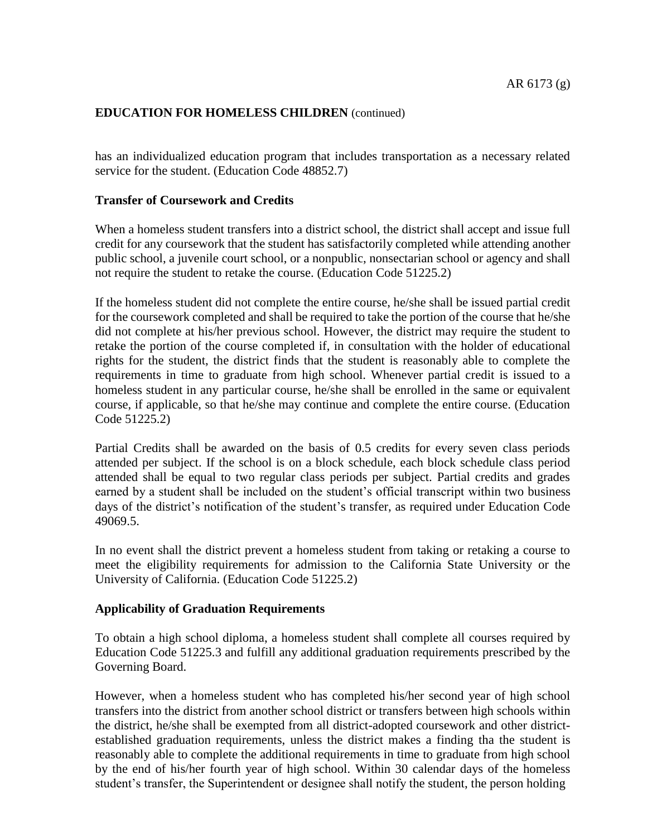has an individualized education program that includes transportation as a necessary related service for the student. (Education Code 48852.7)

## **Transfer of Coursework and Credits**

When a homeless student transfers into a district school, the district shall accept and issue full credit for any coursework that the student has satisfactorily completed while attending another public school, a juvenile court school, or a nonpublic, nonsectarian school or agency and shall not require the student to retake the course. (Education Code 51225.2)

If the homeless student did not complete the entire course, he/she shall be issued partial credit for the coursework completed and shall be required to take the portion of the course that he/she did not complete at his/her previous school. However, the district may require the student to retake the portion of the course completed if, in consultation with the holder of educational rights for the student, the district finds that the student is reasonably able to complete the requirements in time to graduate from high school. Whenever partial credit is issued to a homeless student in any particular course, he/she shall be enrolled in the same or equivalent course, if applicable, so that he/she may continue and complete the entire course. (Education Code 51225.2)

Partial Credits shall be awarded on the basis of 0.5 credits for every seven class periods attended per subject. If the school is on a block schedule, each block schedule class period attended shall be equal to two regular class periods per subject. Partial credits and grades earned by a student shall be included on the student's official transcript within two business days of the district's notification of the student's transfer, as required under Education Code 49069.5.

In no event shall the district prevent a homeless student from taking or retaking a course to meet the eligibility requirements for admission to the California State University or the University of California. (Education Code 51225.2)

### **Applicability of Graduation Requirements**

To obtain a high school diploma, a homeless student shall complete all courses required by Education Code 51225.3 and fulfill any additional graduation requirements prescribed by the Governing Board.

However, when a homeless student who has completed his/her second year of high school transfers into the district from another school district or transfers between high schools within the district, he/she shall be exempted from all district-adopted coursework and other districtestablished graduation requirements, unless the district makes a finding tha the student is reasonably able to complete the additional requirements in time to graduate from high school by the end of his/her fourth year of high school. Within 30 calendar days of the homeless student's transfer, the Superintendent or designee shall notify the student, the person holding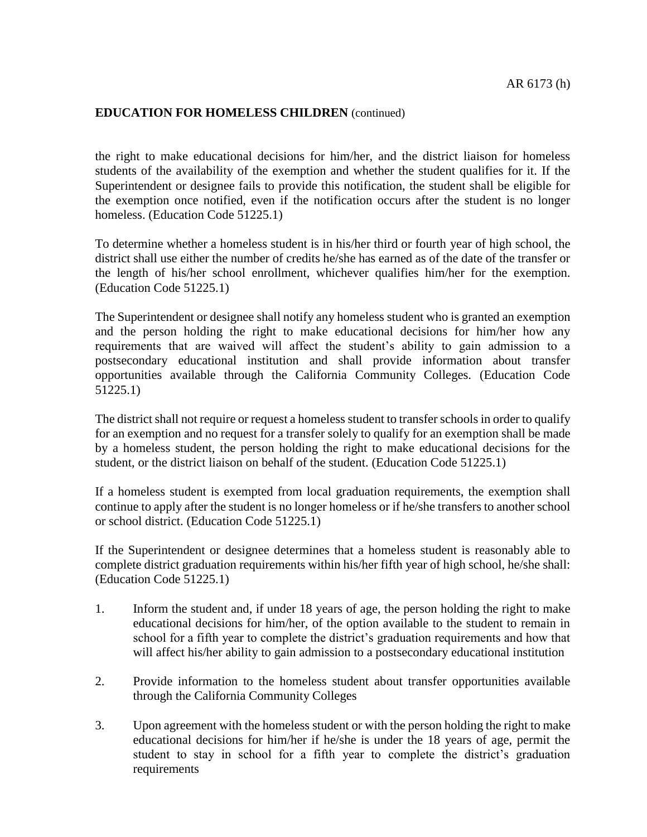the right to make educational decisions for him/her, and the district liaison for homeless students of the availability of the exemption and whether the student qualifies for it. If the Superintendent or designee fails to provide this notification, the student shall be eligible for the exemption once notified, even if the notification occurs after the student is no longer homeless. (Education Code 51225.1)

To determine whether a homeless student is in his/her third or fourth year of high school, the district shall use either the number of credits he/she has earned as of the date of the transfer or the length of his/her school enrollment, whichever qualifies him/her for the exemption. (Education Code 51225.1)

The Superintendent or designee shall notify any homeless student who is granted an exemption and the person holding the right to make educational decisions for him/her how any requirements that are waived will affect the student's ability to gain admission to a postsecondary educational institution and shall provide information about transfer opportunities available through the California Community Colleges. (Education Code 51225.1)

The district shall not require or request a homeless student to transfer schools in order to qualify for an exemption and no request for a transfer solely to qualify for an exemption shall be made by a homeless student, the person holding the right to make educational decisions for the student, or the district liaison on behalf of the student. (Education Code 51225.1)

If a homeless student is exempted from local graduation requirements, the exemption shall continue to apply after the student is no longer homeless or if he/she transfers to another school or school district. (Education Code 51225.1)

If the Superintendent or designee determines that a homeless student is reasonably able to complete district graduation requirements within his/her fifth year of high school, he/she shall: (Education Code 51225.1)

- 1. Inform the student and, if under 18 years of age, the person holding the right to make educational decisions for him/her, of the option available to the student to remain in school for a fifth year to complete the district's graduation requirements and how that will affect his/her ability to gain admission to a postsecondary educational institution
- 2. Provide information to the homeless student about transfer opportunities available through the California Community Colleges
- 3. Upon agreement with the homeless student or with the person holding the right to make educational decisions for him/her if he/she is under the 18 years of age, permit the student to stay in school for a fifth year to complete the district's graduation requirements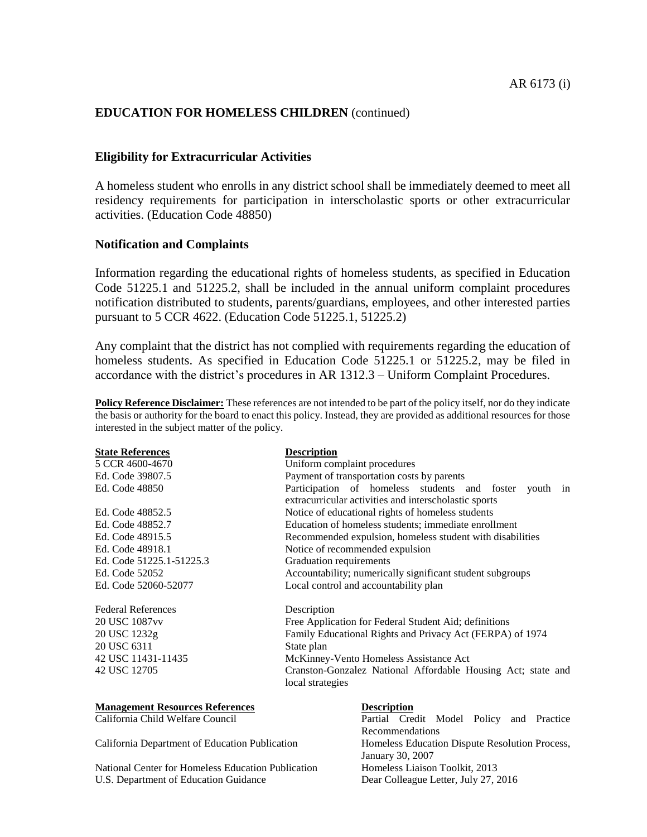## **Eligibility for Extracurricular Activities**

A homeless student who enrolls in any district school shall be immediately deemed to meet all residency requirements for participation in interscholastic sports or other extracurricular activities. (Education Code 48850)

### **Notification and Complaints**

Information regarding the educational rights of homeless students, as specified in Education Code 51225.1 and 51225.2, shall be included in the annual uniform complaint procedures notification distributed to students, parents/guardians, employees, and other interested parties pursuant to 5 CCR 4622. (Education Code 51225.1, 51225.2)

Any complaint that the district has not complied with requirements regarding the education of homeless students. As specified in Education Code 51225.1 or 51225.2, may be filed in accordance with the district's procedures in AR 1312.3 – Uniform Complaint Procedures.

**Policy Reference Disclaimer:** These references are not intended to be part of the policy itself, nor do they indicate the basis or authority for the board to enact this policy. Instead, they are provided as additional resources for those interested in the subject matter of the policy.

| <b>State References</b>   | <b>Description</b>                                                                                              |
|---------------------------|-----------------------------------------------------------------------------------------------------------------|
| 5 CCR 4600-4670           | Uniform complaint procedures                                                                                    |
| Ed. Code 39807.5          | Payment of transportation costs by parents                                                                      |
| Ed. Code 48850            | Participation of homeless students and foster youth in<br>extracurricular activities and interscholastic sports |
| Ed. Code 48852.5          | Notice of educational rights of homeless students                                                               |
| Ed. Code 48852.7          | Education of homeless students; immediate enrollment                                                            |
| Ed. Code 48915.5          | Recommended expulsion, homeless student with disabilities                                                       |
| Ed. Code 48918.1          | Notice of recommended expulsion                                                                                 |
| Ed. Code 51225.1-51225.3  | Graduation requirements                                                                                         |
| Ed. Code 52052            | Accountability; numerically significant student subgroups                                                       |
| Ed. Code 52060-52077      | Local control and accountability plan                                                                           |
| <b>Federal References</b> | Description                                                                                                     |
| 20 USC 1087vv             | Free Application for Federal Student Aid; definitions                                                           |
| 20 USC 1232g              | Family Educational Rights and Privacy Act (FERPA) of 1974                                                       |
| 20 USC 6311               | State plan                                                                                                      |
| 42 USC 11431-11435        | McKinney-Vento Homeless Assistance Act                                                                          |
| 42 USC 12705              | Cranston-Gonzalez National Affordable Housing Act; state and<br>local strategies                                |
|                           |                                                                                                                 |

| <b>Management Resources References</b>             | <b>Description</b>                             |
|----------------------------------------------------|------------------------------------------------|
| California Child Welfare Council                   | Partial Credit Model Policy and Practice       |
|                                                    | Recommendations                                |
| California Department of Education Publication     | Homeless Education Dispute Resolution Process, |
|                                                    | January 30, 2007                               |
| National Center for Homeless Education Publication | Homeless Liaison Toolkit, 2013                 |
| U.S. Department of Education Guidance              | Dear Colleague Letter, July 27, 2016           |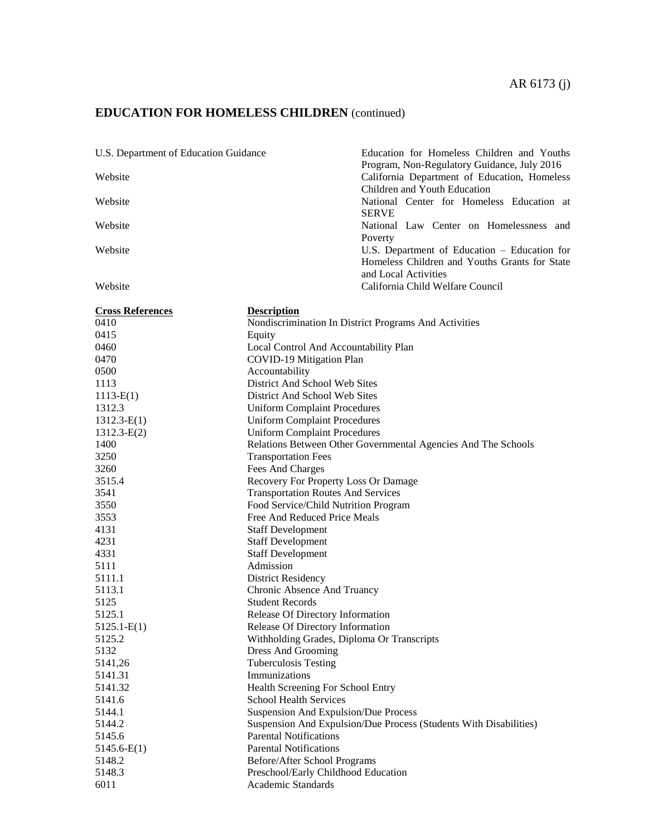| U.S. Department of Education Guidance | Education for Homeless Children and Youths     |
|---------------------------------------|------------------------------------------------|
|                                       | Program, Non-Regulatory Guidance, July 2016    |
| Website                               | California Department of Education, Homeless   |
|                                       | Children and Youth Education                   |
| Website                               | National Center for Homeless Education at      |
|                                       | <b>SERVE</b>                                   |
| Website                               | National Law Center on Homelessness and        |
|                                       | Poverty                                        |
| Website                               | U.S. Department of Education $-$ Education for |
|                                       | Homeless Children and Youths Grants for State  |
|                                       | and Local Activities                           |
| Website                               | California Child Welfare Council               |

| <b>Cross References</b> | <b>Description</b>                                                |
|-------------------------|-------------------------------------------------------------------|
| 0410                    | Nondiscrimination In District Programs And Activities             |
| 0415                    | Equity                                                            |
| 0460                    | Local Control And Accountability Plan                             |
| 0470                    | COVID-19 Mitigation Plan                                          |
| 0500                    | Accountability                                                    |
| 1113                    | District And School Web Sites                                     |
| $1113-E(1)$             | District And School Web Sites                                     |
| 1312.3                  | <b>Uniform Complaint Procedures</b>                               |
| $1312.3-E(1)$           | <b>Uniform Complaint Procedures</b>                               |
| $1312.3-E(2)$           | <b>Uniform Complaint Procedures</b>                               |
| 1400                    | Relations Between Other Governmental Agencies And The Schools     |
| 3250                    | <b>Transportation Fees</b>                                        |
| 3260                    | Fees And Charges                                                  |
| 3515.4                  | Recovery For Property Loss Or Damage                              |
| 3541                    | <b>Transportation Routes And Services</b>                         |
| 3550                    | Food Service/Child Nutrition Program                              |
| 3553                    | Free And Reduced Price Meals                                      |
| 4131                    | <b>Staff Development</b>                                          |
| 4231                    | <b>Staff Development</b>                                          |
| 4331                    | <b>Staff Development</b>                                          |
| 5111                    | Admission                                                         |
| 5111.1                  | District Residency                                                |
| 5113.1                  | Chronic Absence And Truancy                                       |
| 5125                    | <b>Student Records</b>                                            |
| 5125.1                  | Release Of Directory Information                                  |
| $5125.1 - E(1)$         | Release Of Directory Information                                  |
| 5125.2                  | Withholding Grades, Diploma Or Transcripts                        |
| 5132                    | Dress And Grooming                                                |
| 5141,26                 | <b>Tuberculosis Testing</b>                                       |
| 5141.31                 | Immunizations                                                     |
| 5141.32                 | Health Screening For School Entry                                 |
| 5141.6                  | <b>School Health Services</b>                                     |
| 5144.1                  | Suspension And Expulsion/Due Process                              |
| 5144.2                  | Suspension And Expulsion/Due Process (Students With Disabilities) |
| 5145.6                  | <b>Parental Notifications</b>                                     |
| $5145.6-E(1)$           | <b>Parental Notifications</b>                                     |
| 5148.2                  | Before/After School Programs                                      |
| 5148.3                  | Preschool/Early Childhood Education                               |
| 6011                    | Academic Standards                                                |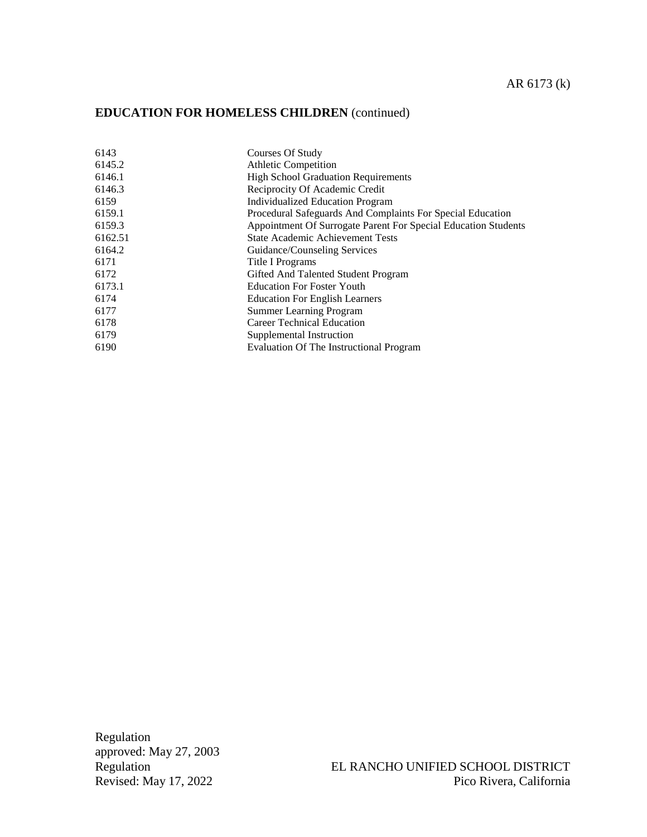| 6143    | Courses Of Study                                               |
|---------|----------------------------------------------------------------|
| 6145.2  | <b>Athletic Competition</b>                                    |
| 6146.1  | <b>High School Graduation Requirements</b>                     |
| 6146.3  | Reciprocity Of Academic Credit                                 |
| 6159    | Individualized Education Program                               |
| 6159.1  | Procedural Safeguards And Complaints For Special Education     |
| 6159.3  | Appointment Of Surrogate Parent For Special Education Students |
| 6162.51 | <b>State Academic Achievement Tests</b>                        |
| 6164.2  | Guidance/Counseling Services                                   |
| 6171    | Title I Programs                                               |
| 6172    | Gifted And Talented Student Program                            |
| 6173.1  | <b>Education For Foster Youth</b>                              |
| 6174    | <b>Education For English Learners</b>                          |
| 6177    | Summer Learning Program                                        |
| 6178    | Career Technical Education                                     |
| 6179    | Supplemental Instruction                                       |
| 6190    | <b>Evaluation Of The Instructional Program</b>                 |
|         |                                                                |

Regulation approved: May 27, 2003 Revised: May  $17, 2022$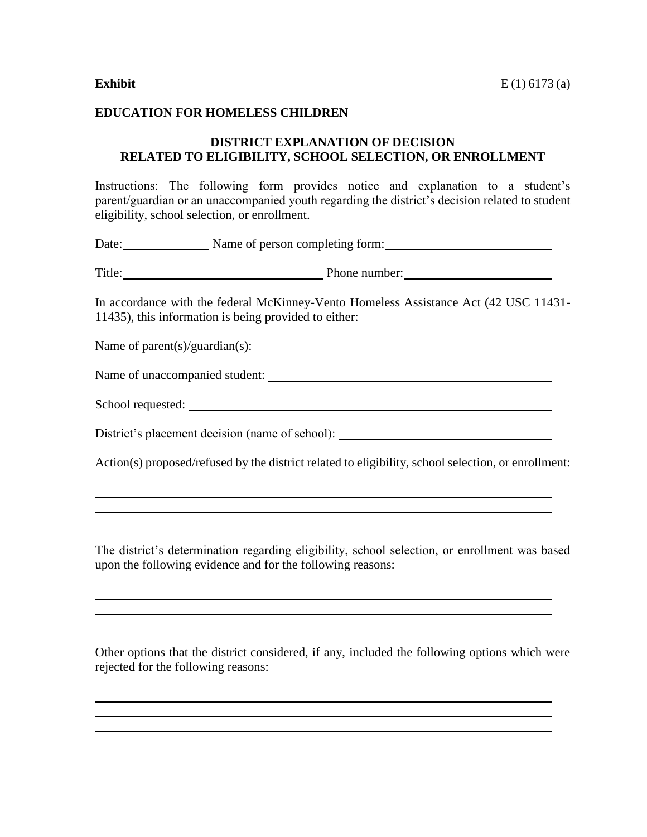## **DISTRICT EXPLANATION OF DECISION RELATED TO ELIGIBILITY, SCHOOL SELECTION, OR ENROLLMENT**

Instructions: The following form provides notice and explanation to a student's parent/guardian or an unaccompanied youth regarding the district's decision related to student eligibility, school selection, or enrollment.

| Date: | Name of person completing form: |
|-------|---------------------------------|
|-------|---------------------------------|

Title: Phone number:

In accordance with the federal McKinney-Vento Homeless Assistance Act (42 USC 11431- 11435), this information is being provided to either:

Name of parent(s)/guardian(s):

Name of unaccompanied student:

| School requested: |  |
|-------------------|--|
|                   |  |

District's placement decision (name of school):

Action(s) proposed/refused by the district related to eligibility, school selection, or enrollment:

The district's determination regarding eligibility, school selection, or enrollment was based upon the following evidence and for the following reasons:

Other options that the district considered, if any, included the following options which were rejected for the following reasons: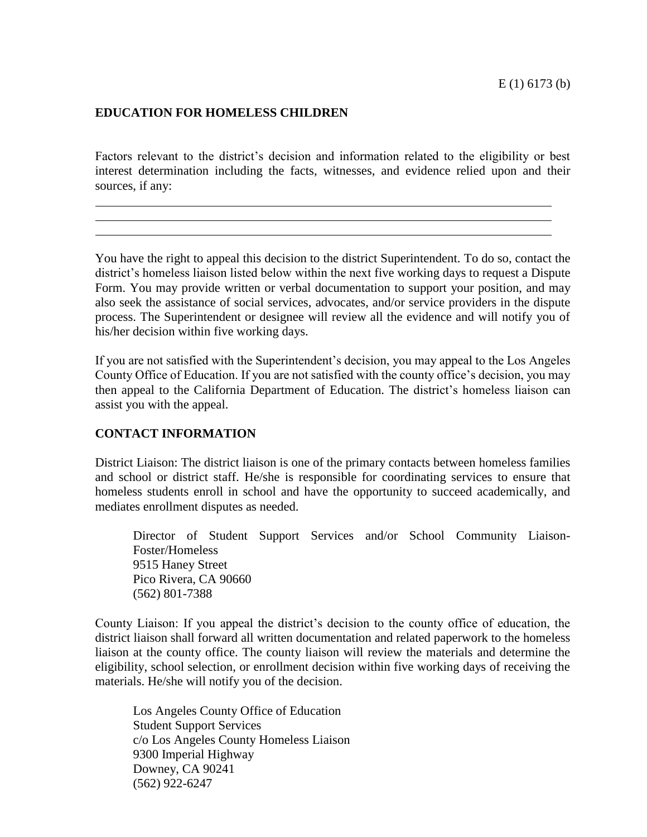Factors relevant to the district's decision and information related to the eligibility or best interest determination including the facts, witnesses, and evidence relied upon and their sources, if any:

You have the right to appeal this decision to the district Superintendent. To do so, contact the district's homeless liaison listed below within the next five working days to request a Dispute Form. You may provide written or verbal documentation to support your position, and may also seek the assistance of social services, advocates, and/or service providers in the dispute process. The Superintendent or designee will review all the evidence and will notify you of his/her decision within five working days.

If you are not satisfied with the Superintendent's decision, you may appeal to the Los Angeles County Office of Education. If you are not satisfied with the county office's decision, you may then appeal to the California Department of Education. The district's homeless liaison can assist you with the appeal.

## **CONTACT INFORMATION**

District Liaison: The district liaison is one of the primary contacts between homeless families and school or district staff. He/she is responsible for coordinating services to ensure that homeless students enroll in school and have the opportunity to succeed academically, and mediates enrollment disputes as needed.

Director of Student Support Services and/or School Community Liaison-Foster/Homeless 9515 Haney Street Pico Rivera, CA 90660 (562) 801-7388

County Liaison: If you appeal the district's decision to the county office of education, the district liaison shall forward all written documentation and related paperwork to the homeless liaison at the county office. The county liaison will review the materials and determine the eligibility, school selection, or enrollment decision within five working days of receiving the materials. He/she will notify you of the decision.

Los Angeles County Office of Education Student Support Services c/o Los Angeles County Homeless Liaison 9300 Imperial Highway Downey, CA 90241 (562) 922-6247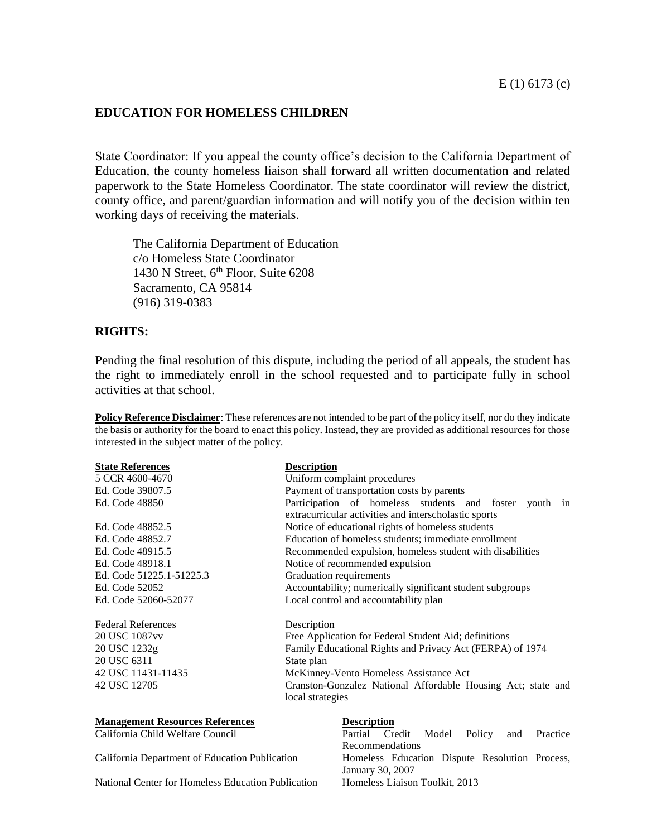State Coordinator: If you appeal the county office's decision to the California Department of Education, the county homeless liaison shall forward all written documentation and related paperwork to the State Homeless Coordinator. The state coordinator will review the district, county office, and parent/guardian information and will notify you of the decision within ten working days of receiving the materials.

The California Department of Education c/o Homeless State Coordinator 1430 N Street,  $6<sup>th</sup>$  Floor, Suite 6208 Sacramento, CA 95814 (916) 319-0383

## **RIGHTS:**

Pending the final resolution of this dispute, including the period of all appeals, the student has the right to immediately enroll in the school requested and to participate fully in school activities at that school.

**Policy Reference Disclaimer**: These references are not intended to be part of the policy itself, nor do they indicate the basis or authority for the board to enact this policy. Instead, they are provided as additional resources for those interested in the subject matter of the policy.

| <b>State References</b>                | <b>Description</b>                                                                                                 |  |  |
|----------------------------------------|--------------------------------------------------------------------------------------------------------------------|--|--|
| 5 CCR 4600-4670                        | Uniform complaint procedures                                                                                       |  |  |
| Ed. Code 39807.5                       | Payment of transportation costs by parents                                                                         |  |  |
| Ed. Code 48850                         | Participation of homeless students and foster<br>youth in<br>extracurricular activities and interscholastic sports |  |  |
| Ed. Code 48852.5                       | Notice of educational rights of homeless students                                                                  |  |  |
| Ed. Code 48852.7                       | Education of homeless students; immediate enrollment                                                               |  |  |
| Ed. Code 48915.5                       | Recommended expulsion, homeless student with disabilities                                                          |  |  |
| Ed. Code 48918.1                       | Notice of recommended expulsion                                                                                    |  |  |
| Ed. Code 51225.1-51225.3               | Graduation requirements                                                                                            |  |  |
| Ed. Code 52052                         | Accountability; numerically significant student subgroups                                                          |  |  |
| Ed. Code 52060-52077                   | Local control and accountability plan                                                                              |  |  |
| <b>Federal References</b>              | Description                                                                                                        |  |  |
| 20 USC 1087vv                          | Free Application for Federal Student Aid; definitions                                                              |  |  |
| 20 USC 1232g                           | Family Educational Rights and Privacy Act (FERPA) of 1974                                                          |  |  |
| 20 USC 6311                            | State plan                                                                                                         |  |  |
| 42 USC 11431-11435                     | McKinney-Vento Homeless Assistance Act                                                                             |  |  |
| 42 USC 12705                           | Cranston-Gonzalez National Affordable Housing Act; state and<br>local strategies                                   |  |  |
| <b>Management Resources References</b> | <b>Description</b>                                                                                                 |  |  |

National Center for Homeless Education Publication

California Child Welfare Council Partial Credit Model Policy and Practice Recommendations California Department of Education Publication Homeless Education Dispute Resolution Process, January 30, 2007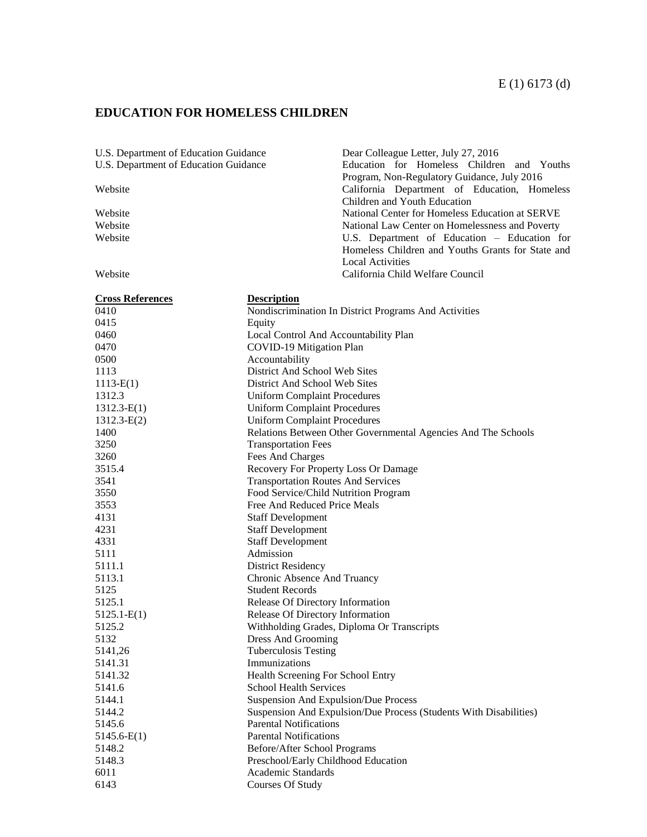| U.S. Department of Education Guidance | Dear Colleague Letter, July 27, 2016              |
|---------------------------------------|---------------------------------------------------|
| U.S. Department of Education Guidance | Education for Homeless Children and Youths        |
|                                       | Program, Non-Regulatory Guidance, July 2016       |
| Website                               | California Department of Education, Homeless      |
|                                       | Children and Youth Education                      |
| Website                               | National Center for Homeless Education at SERVE   |
| Website                               | National Law Center on Homelessness and Poverty   |
| Website                               | U.S. Department of Education – Education for      |
|                                       | Homeless Children and Youths Grants for State and |
|                                       | <b>Local Activities</b>                           |
| Website                               | California Child Welfare Council                  |

| <b>Cross References</b> | <b>Description</b>                                                |
|-------------------------|-------------------------------------------------------------------|
| 0410                    | Nondiscrimination In District Programs And Activities             |
| 0415                    | Equity                                                            |
| 0460                    | Local Control And Accountability Plan                             |
| 0470                    | COVID-19 Mitigation Plan                                          |
| 0500                    | Accountability                                                    |
| 1113                    | District And School Web Sites                                     |
| $1113-E(1)$             | District And School Web Sites                                     |
| 1312.3                  | <b>Uniform Complaint Procedures</b>                               |
| $1312.3-E(1)$           | <b>Uniform Complaint Procedures</b>                               |
| $1312.3-E(2)$           | <b>Uniform Complaint Procedures</b>                               |
| 1400                    | Relations Between Other Governmental Agencies And The Schools     |
| 3250                    | <b>Transportation Fees</b>                                        |
| 3260                    | Fees And Charges                                                  |
| 3515.4                  | Recovery For Property Loss Or Damage                              |
| 3541                    | <b>Transportation Routes And Services</b>                         |
| 3550                    | Food Service/Child Nutrition Program                              |
| 3553                    | Free And Reduced Price Meals                                      |
| 4131                    | <b>Staff Development</b>                                          |
| 4231                    | <b>Staff Development</b>                                          |
| 4331                    | <b>Staff Development</b>                                          |
| 5111                    | Admission                                                         |
| 5111.1                  | <b>District Residency</b>                                         |
| 5113.1                  | Chronic Absence And Truancy                                       |
| 5125                    | <b>Student Records</b>                                            |
| 5125.1                  | Release Of Directory Information                                  |
| $5125.1 - E(1)$         | Release Of Directory Information                                  |
| 5125.2                  | Withholding Grades, Diploma Or Transcripts                        |
| 5132                    | Dress And Grooming                                                |
| 5141,26                 | <b>Tuberculosis Testing</b>                                       |
| 5141.31                 | Immunizations                                                     |
| 5141.32                 | Health Screening For School Entry                                 |
| 5141.6                  | <b>School Health Services</b>                                     |
| 5144.1                  | Suspension And Expulsion/Due Process                              |
| 5144.2                  | Suspension And Expulsion/Due Process (Students With Disabilities) |
| 5145.6                  | <b>Parental Notifications</b>                                     |
| $5145.6-E(1)$           | <b>Parental Notifications</b>                                     |
| 5148.2                  | Before/After School Programs                                      |
| 5148.3                  | Preschool/Early Childhood Education                               |
| 6011                    | Academic Standards                                                |
| 6143                    | <b>Courses Of Study</b>                                           |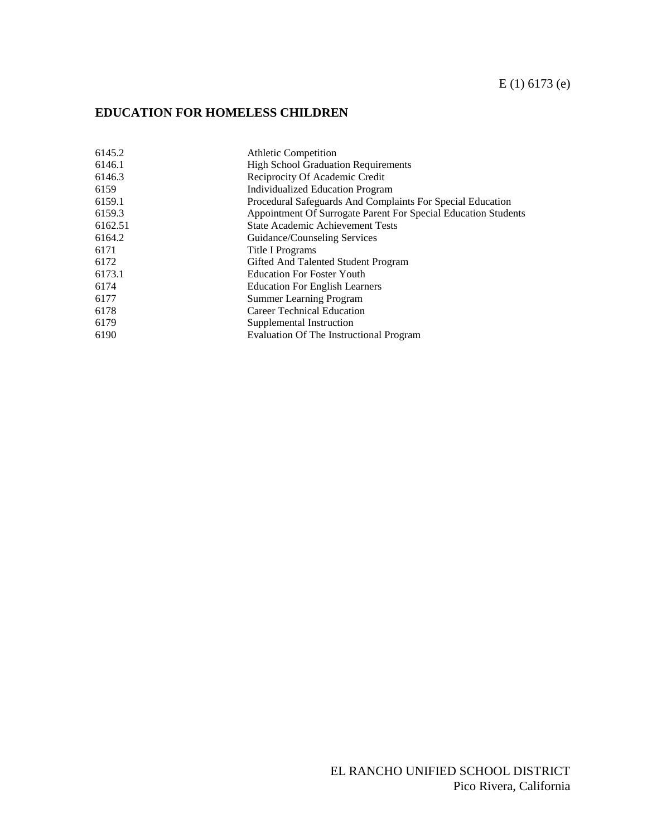| 6145.2  | <b>Athletic Competition</b>                                    |
|---------|----------------------------------------------------------------|
| 6146.1  | <b>High School Graduation Requirements</b>                     |
| 6146.3  | Reciprocity Of Academic Credit                                 |
| 6159    | Individualized Education Program                               |
| 6159.1  | Procedural Safeguards And Complaints For Special Education     |
| 6159.3  | Appointment Of Surrogate Parent For Special Education Students |
| 6162.51 | <b>State Academic Achievement Tests</b>                        |
| 6164.2  | Guidance/Counseling Services                                   |
| 6171    | Title I Programs                                               |
| 6172    | Gifted And Talented Student Program                            |
| 6173.1  | <b>Education For Foster Youth</b>                              |
| 6174    | <b>Education For English Learners</b>                          |
| 6177    | Summer Learning Program                                        |
| 6178    | Career Technical Education                                     |
| 6179    | Supplemental Instruction                                       |
| 6190    | Evaluation Of The Instructional Program                        |
|         |                                                                |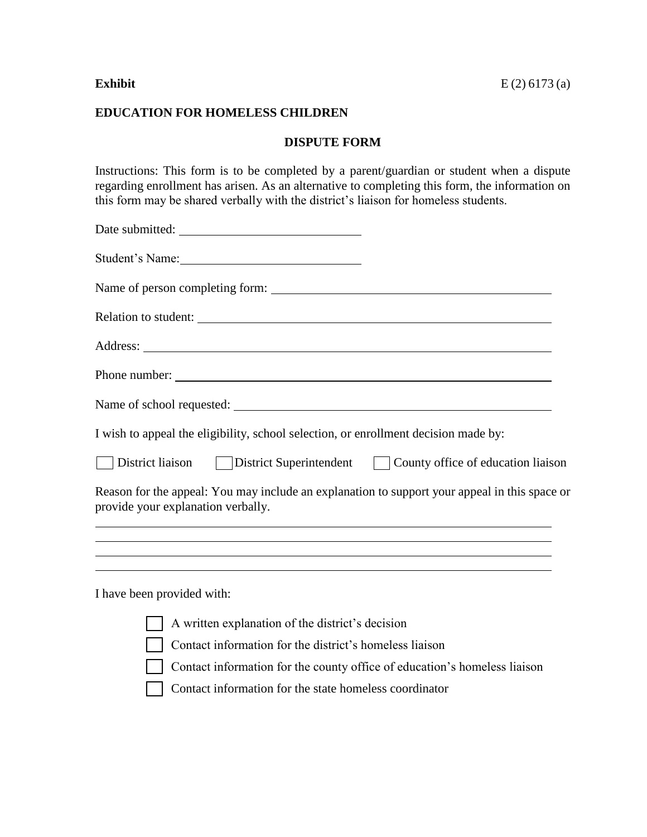## **DISPUTE FORM**

Instructions: This form is to be completed by a parent/guardian or student when a dispute regarding enrollment has arisen. As an alternative to completing this form, the information on this form may be shared verbally with the district's liaison for homeless students.

| I wish to appeal the eligibility, school selection, or enrollment decision made by:                                                                                                                        |
|------------------------------------------------------------------------------------------------------------------------------------------------------------------------------------------------------------|
| District liaison $\Box$ District Superintendent $\Box$ County office of education liaison                                                                                                                  |
| Reason for the appeal: You may include an explanation to support your appeal in this space or<br>provide your explanation verbally.                                                                        |
| <u> 1989 - Johann Stoff, deutscher Stoffen und der Stoffen und der Stoffen und der Stoffen und der Stoffen und der</u><br>,我们也不会有什么。""我们的人,我们也不会有什么?""我们的人,我们也不会有什么?""我们的人,我们也不会有什么?""我们的人,我们也不会有什么?""我们的人 |
| ,我们也不会有一个人的人,我们也不会有一个人的人,我们也不会有一个人的人,我们也不会有一个人的人,我们也不会有一个人的人。""我们的人,我们也不会有一个人的人,我                                                                                                                          |
| I have been provided with:                                                                                                                                                                                 |
| A written explanation of the district's decision                                                                                                                                                           |
| Contact information for the district's homeless liaison                                                                                                                                                    |
| Contact information for the county office of education's homeless liaison                                                                                                                                  |
|                                                                                                                                                                                                            |

Contact information for the state homeless coordinator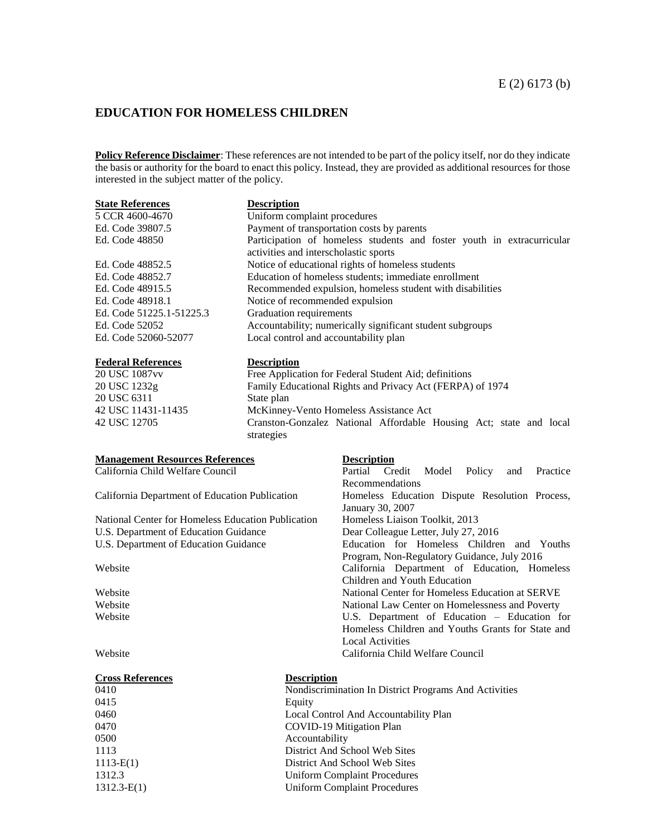**Policy Reference Disclaimer**: These references are not intended to be part of the policy itself, nor do they indicate the basis or authority for the board to enact this policy. Instead, they are provided as additional resources for those interested in the subject matter of the policy.

### **State References Description**

| 5 CCR 4600-4670          | Uniform complaint procedures                                           |
|--------------------------|------------------------------------------------------------------------|
| Ed. Code 39807.5         | Payment of transportation costs by parents                             |
| Ed. Code 48850           | Participation of homeless students and foster youth in extracurricular |
|                          | activities and interscholastic sports                                  |
| Ed. Code 48852.5         | Notice of educational rights of homeless students                      |
| Ed. Code 48852.7         | Education of homeless students; immediate enrollment                   |
| Ed. Code 48915.5         | Recommended expulsion, homeless student with disabilities              |
| Ed. Code 48918.1         | Notice of recommended expulsion                                        |
| Ed. Code 51225.1-51225.3 | Graduation requirements                                                |
| Ed. Code 52052           | Accountability; numerically significant student subgroups              |
| Ed. Code 52060-52077     | Local control and accountability plan                                  |
|                          |                                                                        |

### **Federal References Description**

| 20 USC 1087vv      | Free Application for Federal Student Aid; definitions                            |
|--------------------|----------------------------------------------------------------------------------|
| 20 USC 1232g       | Family Educational Rights and Privacy Act (FERPA) of 1974                        |
| 20 USC 6311        | State plan                                                                       |
| 42 USC 11431-11435 | McKinney-Vento Homeless Assistance Act                                           |
| 42 USC 12705       | Cranston-Gonzalez National Affordable Housing Act; state and local<br>strategies |

### **Management Resources References Description**

California Child Welfare Council

| Credit Model Policy<br>Partial<br>Practice<br>and |
|---------------------------------------------------|
| Recommendations                                   |
| Homeless Education Dispute Resolution Process,    |
| January 30, 2007                                  |
| Homeless Liaison Toolkit, 2013                    |
| Dear Colleague Letter, July 27, 2016              |
| Education for Homeless Children and Youths        |
| Program, Non-Regulatory Guidance, July 2016       |
| California Department of Education, Homeless      |
| Children and Youth Education                      |
| National Center for Homeless Education at SERVE   |
| National Law Center on Homelessness and Poverty   |
| U.S. Department of Education – Education for      |
| Homeless Children and Youths Grants for State and |
| <b>Local Activities</b>                           |
| California Child Welfare Council                  |
|                                                   |

| <b>Cross References</b> | <b>Description</b>                                    |
|-------------------------|-------------------------------------------------------|
| 0410                    | Nondiscrimination In District Programs And Activities |
| 0415                    | Equity                                                |
| 0460                    | Local Control And Accountability Plan                 |
| 0470                    | COVID-19 Mitigation Plan                              |
| 0500                    | Accountability                                        |
| 1113                    | District And School Web Sites                         |
| $1113-E(1)$             | District And School Web Sites                         |
| 1312.3                  | Uniform Complaint Procedures                          |
| $1312.3 - E(1)$         | <b>Uniform Complaint Procedures</b>                   |